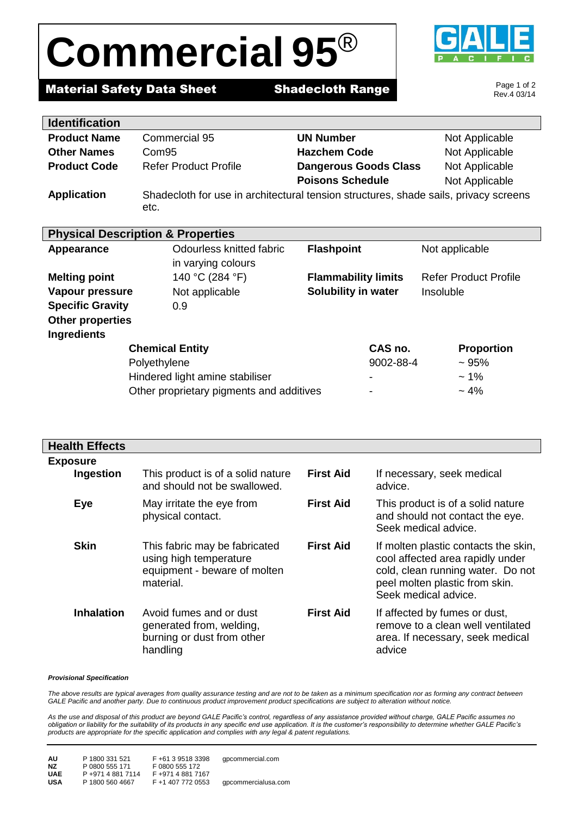# **Commercial 95**®



## **Material Safety Data Sheet Shadecloth Range**

Page 1 of 2 Rev.4 03/14

| <b>Identification</b>                        |                                                                                      |                              |                              |  |  |
|----------------------------------------------|--------------------------------------------------------------------------------------|------------------------------|------------------------------|--|--|
| <b>Product Name</b>                          | Commercial 95                                                                        | <b>UN Number</b>             | Not Applicable               |  |  |
| <b>Other Names</b>                           | Com <sub>95</sub>                                                                    | <b>Hazchem Code</b>          | Not Applicable               |  |  |
| <b>Product Code</b>                          | <b>Refer Product Profile</b>                                                         | <b>Dangerous Goods Class</b> | Not Applicable               |  |  |
|                                              |                                                                                      | <b>Poisons Schedule</b>      | Not Applicable               |  |  |
| <b>Application</b>                           | Shadecloth for use in architectural tension structures, shade sails, privacy screens |                              |                              |  |  |
|                                              | etc.                                                                                 |                              |                              |  |  |
|                                              |                                                                                      |                              |                              |  |  |
| <b>Physical Description &amp; Properties</b> |                                                                                      |                              |                              |  |  |
| <b>Appearance</b>                            | Odourless knitted fabric                                                             | <b>Flashpoint</b>            | Not applicable               |  |  |
|                                              | in varying colours                                                                   |                              |                              |  |  |
| <b>Melting point</b>                         | 140 °C (284 °F)                                                                      | <b>Flammability limits</b>   | <b>Refer Product Profile</b> |  |  |
| Vapour pressure                              | Not applicable                                                                       | Solubility in water          | Insoluble                    |  |  |
| <b>Specific Gravity</b>                      | 0.9                                                                                  |                              |                              |  |  |
| <b>Other properties</b>                      |                                                                                      |                              |                              |  |  |
| <b>Ingredients</b>                           |                                                                                      |                              |                              |  |  |
| <b>Chemical Entity</b>                       |                                                                                      | CAS no.                      | <b>Proportion</b>            |  |  |
|                                              | Polyethylene                                                                         | 9002-88-4                    | ~105%                        |  |  |
| Hindered light amine stabiliser              |                                                                                      |                              | $~1\%$                       |  |  |

Other proprietary pigments and additives  $4\%$ 

| <b>Health Effects</b>        |                                                                                                      |                  |                                                                                                                                                                         |
|------------------------------|------------------------------------------------------------------------------------------------------|------------------|-------------------------------------------------------------------------------------------------------------------------------------------------------------------------|
| <b>Exposure</b><br>Ingestion | This product is of a solid nature<br>and should not be swallowed.                                    | <b>First Aid</b> | If necessary, seek medical<br>advice.                                                                                                                                   |
| Eye                          | May irritate the eye from<br>physical contact.                                                       | <b>First Aid</b> | This product is of a solid nature<br>and should not contact the eye.<br>Seek medical advice.                                                                            |
| <b>Skin</b>                  | This fabric may be fabricated<br>using high temperature<br>equipment - beware of molten<br>material. | <b>First Aid</b> | If molten plastic contacts the skin,<br>cool affected area rapidly under<br>cold, clean running water. Do not<br>peel molten plastic from skin.<br>Seek medical advice. |
| <b>Inhalation</b>            | Avoid fumes and or dust<br>generated from, welding,<br>burning or dust from other<br>handling        | <b>First Aid</b> | If affected by fumes or dust,<br>remove to a clean well ventilated<br>area. If necessary, seek medical<br>advice                                                        |

#### *Provisional Specification*

The above results are typical averages from quality assurance testing and are not to be taken as a minimum specification nor as forming any contract between *GALE Pacific and another party. Due to continuous product improvement product specifications are subject to alteration without notice.*

*As the use and disposal of this product are beyond GALE Pacific's control, regardless of any assistance provided without charge, GALE Pacific assumes no obligation or liability for the suitability of its products in any specific end use application. It is the customer's responsibility to determine whether GALE Pacific's products are appropriate for the specific application and complies with any legal & patent regulations.*